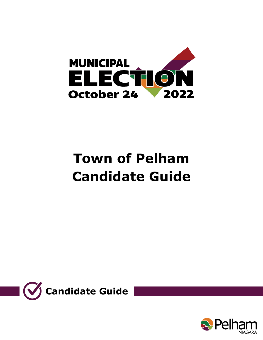

# **Town of Pelham Candidate Guide**



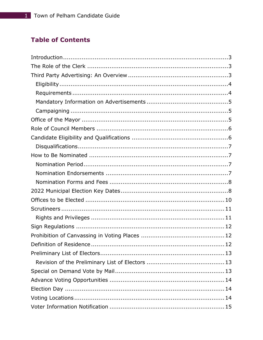# **Table of Contents**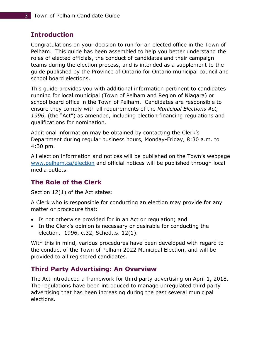# <span id="page-3-0"></span>**Introduction**

Congratulations on your decision to run for an elected office in the Town of Pelham. This guide has been assembled to help you better understand the roles of elected officials, the conduct of candidates and their campaign teams during the election process, and is intended as a supplement to the guide published by the Province of Ontario for Ontario municipal council and school board elections.

This guide provides you with additional information pertinent to candidates running for local municipal (Town of Pelham and Region of Niagara) or school board office in the Town of Pelham. Candidates are responsible to ensure they comply with all requirements of the *Municipal Elections Act, 1996*, (the "Act") as amended, including election financing regulations and qualifications for nomination.

Additional information may be obtained by contacting the Clerk's Department during regular business hours, Monday-Friday, 8:30 a.m. to 4:30 pm.

All election information and notices will be published on the Town's webpage [www.pelham.ca/election](http://www.pelham.ca/election) and official notices will be published through local media outlets.

# <span id="page-3-1"></span>**The Role of the Clerk**

Section 12(1) of the Act states:

A Clerk who is responsible for conducting an election may provide for any matter or procedure that:

- Is not otherwise provided for in an Act or regulation; and
- In the Clerk's opinion is necessary or desirable for conducting the election. 1996, c.32, Sched.,s. 12(1).

With this in mind, various procedures have been developed with regard to the conduct of the Town of Pelham 2022 Municipal Election, and will be provided to all registered candidates.

# <span id="page-3-2"></span>**Third Party Advertising: An Overview**

The Act introduced a framework for third party advertising on April 1, 2018. The regulations have been introduced to manage unregulated third party advertising that has been increasing during the past several municipal elections.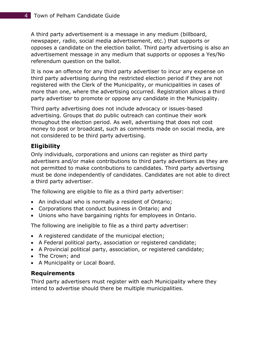A third party advertisement is a message in any medium (billboard, newspaper, radio, social media advertisement, etc.) that supports or opposes a candidate on the election ballot. Third party advertising is also an advertisement message in any medium that supports or opposes a Yes/No referendum question on the ballot.

It is now an offence for any third party advertiser to incur any expense on third party advertising during the restricted election period if they are not registered with the Clerk of the Municipality, or municipalities in cases of more than one, where the advertising occurred. Registration allows a third party advertiser to promote or oppose any candidate in the Municipality.

Third party advertising does not include advocacy or issues-based advertising. Groups that do public outreach can continue their work throughout the election period. As well, advertising that does not cost money to post or broadcast, such as comments made on social media, are not considered to be third party advertising.

#### <span id="page-4-0"></span>**Eligibility**

Only individuals, corporations and unions can register as third party advertisers and/or make contributions to third party advertisers as they are not permitted to make contributions to candidates. Third party advertising must be done independently of candidates. Candidates are not able to direct a third party advertiser.

The following are eligible to file as a third party advertiser:

- An individual who is normally a resident of Ontario;
- Corporations that conduct business in Ontario; and
- Unions who have bargaining rights for employees in Ontario.

The following are ineligible to file as a third party advertiser:

- A registered candidate of the municipal election;
- A Federal political party, association or registered candidate;
- A Provincial political party, association, or registered candidate;
- The Crown; and
- A Municipality or Local Board.

#### <span id="page-4-1"></span>**Requirements**

Third party advertisers must register with each Municipality where they intend to advertise should there be multiple municipalities.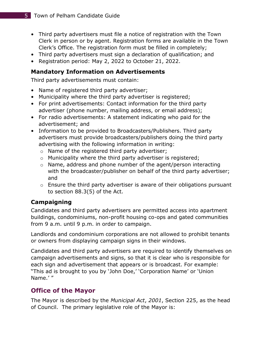- Third party advertisers must file a notice of registration with the Town Clerk in person or by agent. Registration forms are available in the Town Clerk's Office. The registration form must be filled in completely;
- Third party advertisers must sign a declaration of qualification; and
- Registration period: May 2, 2022 to October 21, 2022.

#### <span id="page-5-0"></span>**Mandatory Information on Advertisements**

Third party advertisements must contain:

- Name of registered third party advertiser;
- Municipality where the third party advertiser is registered;
- For print advertisements: Contact information for the third party advertiser (phone number, mailing address, or email address);
- For radio advertisements: A statement indicating who paid for the advertisement; and
- Information to be provided to Broadcasters/Publishers. Third party advertisers must provide broadcasters/publishers doing the third party advertising with the following information in writing:
	- o Name of the registered third party advertiser;
	- o Municipality where the third party advertiser is registered;
	- o Name, address and phone number of the agent/person interacting with the broadcaster/publisher on behalf of the third party advertiser; and
	- $\circ$  Ensure the third party advertiser is aware of their obligations pursuant to section 88.3(5) of the Act.

# <span id="page-5-1"></span>**Campaigning**

Candidates and third party advertisers are permitted access into apartment buildings, condominiums, non-profit housing co-ops and gated communities from 9 a.m. until 9 p.m. in order to campaign.

Landlords and condominium corporations are not allowed to prohibit tenants or owners from displaying campaign signs in their windows.

Candidates and third party advertisers are required to identify themselves on campaign advertisements and signs, so that it is clear who is responsible for each sign and advertisement that appears or is broadcast. For example: "This ad is brought to you by 'John Doe,' 'Corporation Name' or 'Union Name.' "

#### <span id="page-5-2"></span>**Office of the Mayor**

The Mayor is described by the *Municipal Act*, *2001*, Section 225, as the head of Council. The primary legislative role of the Mayor is: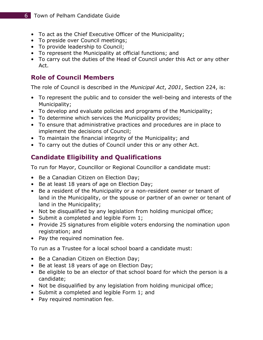- To act as the Chief Executive Officer of the Municipality;
- To preside over Council meetings;
- To provide leadership to Council;
- To represent the Municipality at official functions; and
- To carry out the duties of the Head of Council under this Act or any other Act.

# <span id="page-6-0"></span>**Role of Council Members**

The role of Council is described in the *Municipal Act*, *2001*, Section 224, is:

- To represent the public and to consider the well-being and interests of the Municipality;
- To develop and evaluate policies and programs of the Municipality;
- To determine which services the Municipality provides;
- To ensure that administrative practices and procedures are in place to implement the decisions of Council;
- To maintain the financial integrity of the Municipality; and
- To carry out the duties of Council under this or any other Act.

# <span id="page-6-1"></span>**Candidate Eligibility and Qualifications**

To run for Mayor, Councillor or Regional Councillor a candidate must:

- Be a Canadian Citizen on Election Day;
- Be at least 18 years of age on Election Day;
- Be a resident of the Municipality or a non-resident owner or tenant of land in the Municipality, or the spouse or partner of an owner or tenant of land in the Municipality;
- Not be disqualified by any legislation from holding municipal office;
- Submit a completed and legible Form 1;
- Provide 25 signatures from eligible voters endorsing the nomination upon registration; and
- Pay the required nomination fee.

To run as a Trustee for a local school board a candidate must:

- Be a Canadian Citizen on Election Day;
- Be at least 18 years of age on Election Day;
- Be eligible to be an elector of that school board for which the person is a candidate;
- Not be disqualified by any legislation from holding municipal office;
- Submit a completed and legible Form 1; and
- Pay required nomination fee.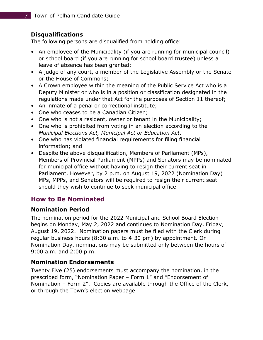#### <span id="page-7-0"></span>**Disqualifications**

The following persons are disqualified from holding office:

- An employee of the Municipality (if you are running for municipal council) or school board (if you are running for school board trustee) unless a leave of absence has been granted;
- A judge of any court, a member of the Legislative Assembly or the Senate or the House of Commons;
- A Crown employee within the meaning of the Public Service Act who is a Deputy Minister or who is in a position or classification designated in the regulations made under that Act for the purposes of Section 11 thereof;
- An inmate of a penal or correctional institute;
- One who ceases to be a Canadian Citizen;
- One who is not a resident, owner or tenant in the Municipality;
- One who is prohibited from voting in an election according to the *Municipal Elections Act, Municipal Act or Education Act;*
- One who has violated financial requirements for filing financial information; and
- Despite the above disqualification, Members of Parliament (MPs), Members of Provincial Parliament (MPPs) and Senators may be nominated for municipal office without having to resign their current seat in Parliament. However, by 2 p.m. on August 19, 2022 (Nomination Day) MPs, MPPs, and Senators will be required to resign their current seat should they wish to continue to seek municipal office.

# <span id="page-7-1"></span>**How to Be Nominated**

#### <span id="page-7-2"></span>**Nomination Period**

The nomination period for the 2022 Municipal and School Board Election begins on Monday, May 2, 2022 and continues to Nomination Day, Friday, August 19, 2022. Nomination papers must be filed with the Clerk during regular business hours (8:30 a.m. to 4:30 pm) by appointment. On Nomination Day, nominations may be submitted only between the hours of 9:00 a.m. and 2:00 p.m.

#### <span id="page-7-3"></span>**Nomination Endorsements**

Twenty Five (25) endorsements must accompany the nomination, in the prescribed form, "Nomination Paper – Form 1" and "Endorsement of Nomination – Form 2". Copies are available through the Office of the Clerk, or through the Town's election webpage.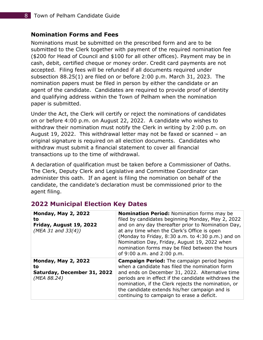#### <span id="page-8-0"></span>**Nomination Forms and Fees**

Nominations must be submitted on the prescribed form and are to be submitted to the Clerk together with payment of the required nomination fee (\$200 for Head of Council and \$100 for all other offices). Payment may be in cash, debit, certified cheque or money order. Credit card payments are not accepted. Filing fees will be refunded if all documents required under subsection 88.25(1) are filed on or before 2:00 p.m. March 31, 2023. The nomination papers must be filed in person by either the candidate or an agent of the candidate. Candidates are required to provide proof of identity and qualifying address within the Town of Pelham when the nomination paper is submitted.

Under the Act, the Clerk will certify or reject the nominations of candidates on or before 4:00 p.m. on August 22, 2022. A candidate who wishes to withdraw their nomination must notify the Clerk in writing by 2:00 p.m. on August 19, 2022. This withdrawal letter may not be faxed or scanned – an original signature is required on all election documents. Candidates who withdraw must submit a financial statement to cover all financial transactions up to the time of withdrawal.

A declaration of qualification must be taken before a Commissioner of Oaths. The Clerk, Deputy Clerk and Legislative and Committee Coordinator can administer this oath. If an agent is filing the nomination on behalf of the candidate, the candidate's declaration must be commissioned prior to the agent filing.

| <b>Monday, May 2, 2022</b><br>to<br>Friday, August 19, 2022<br>(MEA 31 and $33(4)$ ) | Nomination Period: Nomination forms may be<br>filed by candidates beginning Monday, May 2, 2022<br>and on any day thereafter prior to Nomination Day,<br>at any time when the Clerk's Office is open<br>(Monday to Friday, 8:30 a.m. to 4:30 p.m.) and on<br>Nomination Day, Friday, August 19, 2022 when<br>nomination forms may be filed between the hours<br>of 9:00 a.m. and 2:00 p.m. |
|--------------------------------------------------------------------------------------|--------------------------------------------------------------------------------------------------------------------------------------------------------------------------------------------------------------------------------------------------------------------------------------------------------------------------------------------------------------------------------------------|
| <b>Monday, May 2, 2022</b><br>to<br>Saturday, December 31, 2022<br>(MEA 88.24)       | <b>Campaign Period:</b> The campaign period begins<br>when a candidate has filed the nomination form<br>and ends on December 31, 2022. Alternative time<br>periods are in effect if the candidate withdraws the<br>nomination, if the Clerk rejects the nomination, or<br>the candidate extends his/her campaign and is<br>continuing to campaign to erase a deficit.                      |

#### <span id="page-8-1"></span>**2022 Municipal Election Key Dates**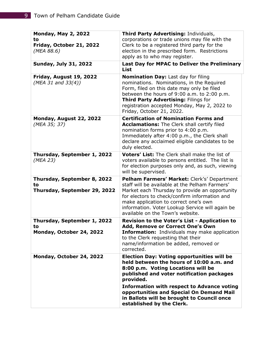| <b>Monday, May 2, 2022</b><br>to                                  | Third Party Advertising: Individuals,<br>corporations or trade unions may file with the                                                                                                                                                                                                                                          |  |
|-------------------------------------------------------------------|----------------------------------------------------------------------------------------------------------------------------------------------------------------------------------------------------------------------------------------------------------------------------------------------------------------------------------|--|
| Friday, October 21, 2022<br>(MEA 88.6)                            | Clerk to be a registered third party for the<br>election in the prescribed form. Restrictions                                                                                                                                                                                                                                    |  |
| <b>Sunday, July 31, 2022</b>                                      | apply as to who may register.                                                                                                                                                                                                                                                                                                    |  |
|                                                                   | Last Day for MPAC to Deliver the Preliminary<br><b>List</b>                                                                                                                                                                                                                                                                      |  |
| Friday, August 19, 2022<br>(MEA 31 and $33(4)$ )                  | <b>Nomination Day: Last day for filing</b><br>nominations. Nominations, in the Required<br>Form, filed on this date may only be filed<br>between the hours of 9:00 a.m. to 2:00 p.m.<br>Third Party Advertising: Filings for<br>registration accepted Monday, May 2, 2022 to<br>Friday, October 21, 2022.                        |  |
| Monday, August 22, 2022<br>(MEA 35; 37)                           | <b>Certification of Nomination Forms and</b><br><b>Acclamations:</b> The Clerk shall certify filed<br>nomination forms prior to 4:00 p.m.<br>Immediately after 4:00 p.m., the Clerk shall<br>declare any acclaimed eligible candidates to be<br>duly elected.                                                                    |  |
| Thursday, September 1, 2022<br>(MEA 23)                           | Voters' List: The Clerk shall make the list of<br>voters available to persons entitled. The list is<br>for election purposes only and, as such, viewing<br>will be supervised.                                                                                                                                                   |  |
| Thursday, September 8, 2022<br>to<br>Thursday, September 29, 2022 | Pelham Farmers' Market: Clerk's' Department<br>staff will be available at the Pelham Farmers'<br>Market each Thursday to provide an opportunity<br>for electors to check/confirm information and<br>make application to correct one's own<br>information. Voter Lookup Service will again be<br>available on the Town's website. |  |
| Thursday, September 1, 2022<br>to                                 | Revision to the Voter's List - Application to<br>Add, Remove or Correct One's Own                                                                                                                                                                                                                                                |  |
| Monday, October 24, 2022                                          | <b>Information:</b> Individuals may make application<br>to the Clerk requesting that their<br>name/information be added, removed or<br>corrected.                                                                                                                                                                                |  |
| Monday, October 24, 2022                                          | <b>Election Day: Voting opportunities will be</b><br>held between the hours of 10:00 a.m. and<br>8:00 p.m. Voting Locations will be<br>published and voter notification packages<br>provided.                                                                                                                                    |  |
|                                                                   | <b>Information with respect to Advance voting</b><br>opportunities and Special On Demand Mail<br>in Ballots will be brought to Council once<br>established by the Clerk.                                                                                                                                                         |  |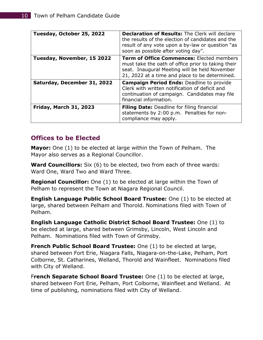| Tuesday, October 25, 2022     | <b>Declaration of Results:</b> The Clerk will declare<br>the results of the election of candidates and the<br>result of any vote upon a by-law or question "as<br>soon as possible after voting day". |  |
|-------------------------------|-------------------------------------------------------------------------------------------------------------------------------------------------------------------------------------------------------|--|
| Tuesday, November, 15 2022    | Term of Office Commences: Elected members<br>must take the oath of office prior to taking their<br>seat. Inaugural Meeting will be held November<br>21, 2022 at a time and place to be determined.    |  |
| Saturday, December 31, 2022   | <b>Campaign Period Ends: Deadline to provide</b><br>Clerk with written notification of deficit and<br>continuation of campaign. Candidates may file<br>financial information.                         |  |
| <b>Friday, March 31, 2023</b> | <b>Filing Date:</b> Deadline for filing financial<br>statements by 2:00 p.m. Penalties for non-<br>compliance may apply.                                                                              |  |

#### <span id="page-10-0"></span>**Offices to be Elected**

**Mayor:** One (1) to be elected at large within the Town of Pelham. The Mayor also serves as a Regional Councillor.

**Ward Councillors:** Six (6) to be elected, two from each of three wards: Ward One, Ward Two and Ward Three.

**Regional Councillor:** One (1) to be elected at large within the Town of Pelham to represent the Town at Niagara Regional Council.

**English Language Public School Board Trustee:** One (1) to be elected at large, shared between Pelham and Thorold. Nominations filed with Town of Pelham.

**English Language Catholic District School Board Trustee:** One (1) to be elected at large, shared between Grimsby, Lincoln, West Lincoln and Pelham. Nominations filed with Town of Grimsby.

**French Public School Board Trustee:** One (1) to be elected at large, shared between Fort Erie, Niagara Falls, Niagara-on-the-Lake, Pelham, Port Colborne, St. Catharines, Welland, Thorold and Wainfleet. Nominations filed with City of Welland.

F**rench Separate School Board Trustee:** One (1) to be elected at large, shared between Fort Erie, Pelham, Port Colborne, Wainfleet and Welland. At time of publishing, nominations filed with City of Welland.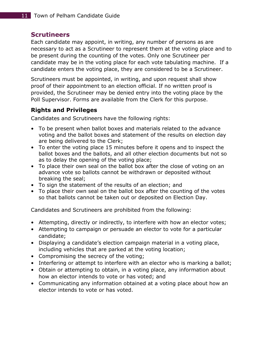#### <span id="page-11-0"></span>**Scrutineers**

Each candidate may appoint, in writing, any number of persons as are necessary to act as a Scrutineer to represent them at the voting place and to be present during the counting of the votes. Only one Scrutineer per candidate may be in the voting place for each vote tabulating machine. If a candidate enters the voting place, they are considered to be a Scrutineer.

Scrutineers must be appointed, in writing, and upon request shall show proof of their appointment to an election official. If no written proof is provided, the Scrutineer may be denied entry into the voting place by the Poll Supervisor. Forms are available from the Clerk for this purpose.

#### <span id="page-11-1"></span>**Rights and Privileges**

Candidates and Scrutineers have the following rights:

- To be present when ballot boxes and materials related to the advance voting and the ballot boxes and statement of the results on election day are being delivered to the Clerk;
- To enter the voting place 15 minutes before it opens and to inspect the ballot boxes and the ballots, and all other election documents but not so as to delay the opening of the voting place;
- To place their own seal on the ballot box after the close of voting on an advance vote so ballots cannot be withdrawn or deposited without breaking the seal;
- To sign the statement of the results of an election; and
- To place their own seal on the ballot box after the counting of the votes so that ballots cannot be taken out or deposited on Election Day.

Candidates and Scrutineers are prohibited from the following:

- Attempting, directly or indirectly, to interfere with how an elector votes;
- Attempting to campaign or persuade an elector to vote for a particular candidate;
- Displaying a candidate's election campaign material in a voting place, including vehicles that are parked at the voting location;
- Compromising the secrecy of the voting;
- Interfering or attempt to interfere with an elector who is marking a ballot;
- Obtain or attempting to obtain, in a voting place, any information about how an elector intends to vote or has voted; and
- Communicating any information obtained at a voting place about how an elector intends to vote or has voted.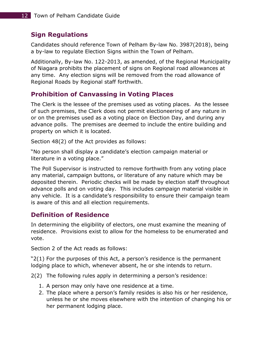### <span id="page-12-0"></span>**Sign Regulations**

Candidates should reference Town of Pelham By-law No. 3987(2018), being a by-law to regulate Election Signs within the Town of Pelham.

Additionally, By-law No. 122-2013, as amended, of the Regional Municipality of Niagara prohibits the placement of signs on Regional road allowances at any time. Any election signs will be removed from the road allowance of Regional Roads by Regional staff forthwith.

# <span id="page-12-1"></span>**Prohibition of Canvassing in Voting Places**

The Clerk is the lessee of the premises used as voting places. As the lessee of such premises, the Clerk does not permit electioneering of any nature in or on the premises used as a voting place on Election Day, and during any advance polls. The premises are deemed to include the entire building and property on which it is located.

Section 48(2) of the Act provides as follows:

"No person shall display a candidate's election campaign material or literature in a voting place."

The Poll Supervisor is instructed to remove forthwith from any voting place any material, campaign buttons, or literature of any nature which may be deposited therein. Periodic checks will be made by election staff throughout advance polls and on voting day. This includes campaign material visible in any vehicle. It is a candidate's responsibility to ensure their campaign team is aware of this and all election requirements.

#### <span id="page-12-2"></span>**Definition of Residence**

In determining the eligibility of electors, one must examine the meaning of residence. Provisions exist to allow for the homeless to be enumerated and vote.

Section 2 of the Act reads as follows:

"2(1) For the purposes of this Act, a person's residence is the permanent lodging place to which, whenever absent, he or she intends to return.

2(2) The following rules apply in determining a person's residence:

- 1. A person may only have one residence at a time.
- 2. The place where a person's family resides is also his or her residence, unless he or she moves elsewhere with the intention of changing his or her permanent lodging place.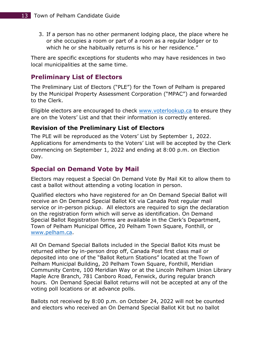3. If a person has no other permanent lodging place, the place where he or she occupies a room or part of a room as a regular lodger or to which he or she habitually returns is his or her residence."

There are specific exceptions for students who may have residences in two local municipalities at the same time.

#### <span id="page-13-0"></span>**Preliminary List of Electors**

The Preliminary List of Electors ("PLE") for the Town of Pelham is prepared by the Municipal Property Assessment Corporation ("MPAC") and forwarded to the Clerk.

Eligible electors are encouraged to check [www.voterlookup.ca](http://www.voterlookup.ca/) to ensure they are on the Voters' List and that their information is correctly entered.

#### <span id="page-13-1"></span>**Revision of the Preliminary List of Electors**

The PLE will be reproduced as the Voters' List by September 1, 2022. Applications for amendments to the Voters' List will be accepted by the Clerk commencing on September 1, 2022 and ending at 8:00 p.m. on Election Day.

# <span id="page-13-2"></span>**Special on Demand Vote by Mail**

Electors may request a Special On Demand Vote By Mail Kit to allow them to cast a ballot without attending a voting location in person.

Qualified electors who have registered for an On Demand Special Ballot will receive an On Demand Special Ballot Kit via Canada Post regular mail service or in-person pickup. All electors are required to sign the declaration on the registration form which will serve as identification. On Demand Special Ballot Registration forms are available in the Clerk's Department, Town of Pelham Municipal Office, 20 Pelham Town Square, Fonthill, or [www.pelham.ca.](http://www.pelham.ca/)

All On Demand Special Ballots included in the Special Ballot Kits must be returned either by in-person drop off, Canada Post first class mail or deposited into one of the "Ballot Return Stations" located at the Town of Pelham Municipal Building, 20 Pelham Town Square, Fonthill, Meridian Community Centre, 100 Meridian Way or at the Lincoln Pelham Union Library Maple Acre Branch, 781 Canboro Road, Fenwick, during regular branch hours. On Demand Special Ballot returns will not be accepted at any of the voting poll locations or at advance polls.

Ballots not received by 8:00 p.m. on October 24, 2022 will not be counted and electors who received an On Demand Special Ballot Kit but no ballot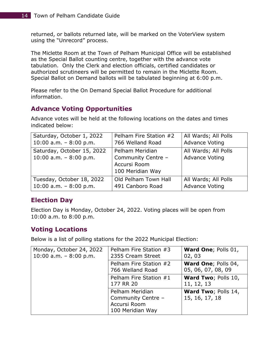returned, or ballots returned late, will be marked on the VoterView system using the "Unrecord" process.

The Miclette Room at the Town of Pelham Municipal Office will be established as the Special Ballot counting centre, together with the advance vote tabulation. Only the Clerk and election officials, certified candidates or authorized scrutineers will be permitted to remain in the Miclette Room. Special Ballot on Demand ballots will be tabulated beginning at 6:00 p.m.

Please refer to the On Demand Special Ballot Procedure for additional information.

# <span id="page-14-0"></span>**Advance Voting Opportunities**

Advance votes will be held at the following locations on the dates and times indicated below:

| Saturday, October 1, 2022                             | Pelham Fire Station #2                                                    | All Wards; All Polls                          |
|-------------------------------------------------------|---------------------------------------------------------------------------|-----------------------------------------------|
| 10:00 a.m. $-8:00$ p.m.                               | 766 Welland Road                                                          | <b>Advance Voting</b>                         |
| Saturday, October 15, 2022<br>10:00 a.m. $-8:00$ p.m. | Pelham Meridian<br>Community Centre -<br>Accursi Room<br>100 Meridian Way | All Wards; All Polls<br><b>Advance Voting</b> |
| Tuesday, October 18, 2022                             | Old Pelham Town Hall                                                      | All Wards; All Polls                          |
| 10:00 a.m. $-8:00$ p.m.                               | 491 Canboro Road                                                          | <b>Advance Voting</b>                         |

# <span id="page-14-1"></span>**Election Day**

Election Day is Monday, October 24, 2022. Voting places will be open from 10:00 a.m. to 8:00 p.m.

#### <span id="page-14-2"></span>**Voting Locations**

Below is a list of polling stations for the 2022 Municipal Election:

| Monday, October 24, 2022<br>10:00 a.m. $-8:00$ p.m. | Pelham Fire Station #3<br>2355 Cream Street                               | Ward One; Polls 01,<br>02, 03             |
|-----------------------------------------------------|---------------------------------------------------------------------------|-------------------------------------------|
|                                                     | Pelham Fire Station #2<br>766 Welland Road                                | Ward One; Polls 04,<br>05, 06, 07, 08, 09 |
|                                                     | Pelham Fire Station #1<br>177 RR 20                                       | Ward Two; Polls 10,<br>11, 12, 13         |
|                                                     | Pelham Meridian<br>Community Centre -<br>Accursi Room<br>100 Meridian Way | Ward Two; Polls 14,<br>15, 16, 17, 18     |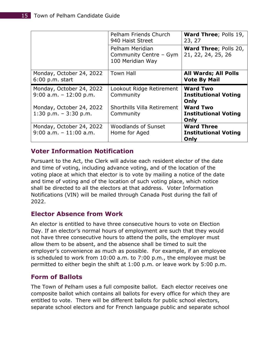|                                                       | Pelham Friends Church<br>940 Haist Street                     | <b>Ward Three; Polls 19,</b><br>23, 27                   |
|-------------------------------------------------------|---------------------------------------------------------------|----------------------------------------------------------|
|                                                       | Pelham Meridian<br>Community Centre - Gym<br>100 Meridian Way | <b>Ward Three; Polls 20,</b><br>21, 22, 24, 25, 26       |
| Monday, October 24, 2022<br>$6:00$ p.m. start         | <b>Town Hall</b>                                              | <b>All Wards; All Polls</b><br><b>Vote By Mail</b>       |
| Monday, October 24, 2022<br>$9:00$ a.m. $-12:00$ p.m. | Lookout Ridge Retirement<br>Community                         | <b>Ward Two</b><br><b>Institutional Voting</b><br>Only   |
| Monday, October 24, 2022<br>$1:30$ p.m. $-3:30$ p.m.  | Shorthills Villa Retirement<br>Community                      | <b>Ward Two</b><br><b>Institutional Voting</b><br>Only   |
| Monday, October 24, 2022<br>$9:00$ a.m. $-11:00$ a.m. | <b>Woodlands of Sunset</b><br>Home for Aged                   | <b>Ward Three</b><br><b>Institutional Voting</b><br>Only |

#### <span id="page-15-0"></span>**Voter Information Notification**

Pursuant to the Act, the Clerk will advise each resident elector of the date and time of voting, including advance voting, and of the location of the voting place at which that elector is to vote by mailing a notice of the date and time of voting and of the location of such voting place, which notice shall be directed to all the electors at that address. Voter Information Notifications (VIN) will be mailed through Canada Post during the fall of 2022.

#### <span id="page-15-1"></span>**Elector Absence from Work**

An elector is entitled to have three consecutive hours to vote on Election Day. If an elector's normal hours of employment are such that they would not have three consecutive hours to attend the polls, the employer must allow them to be absent, and the absence shall be timed to suit the employer's convenience as much as possible. For example, if an employee is scheduled to work from 10:00 a.m. to 7:00 p.m., the employee must be permitted to either begin the shift at 1:00 p.m. or leave work by 5:00 p.m.

#### <span id="page-15-2"></span>**Form of Ballots**

The Town of Pelham uses a full composite ballot. Each elector receives one composite ballot which contains all ballots for every office for which they are entitled to vote. There will be different ballots for public school electors, separate school electors and for French language public and separate school